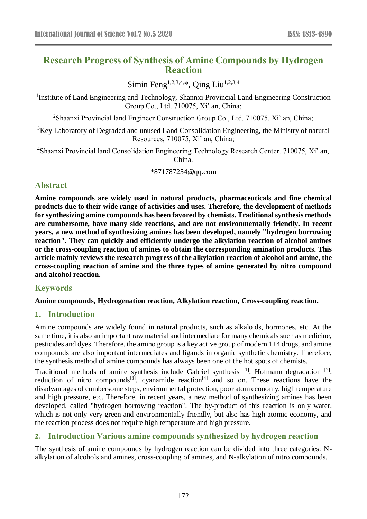# **Research Progress of Synthesis of Amine Compounds by Hydrogen Reaction**

Simin Feng<sup>1,2,3,4,\*</sup>, Oing Liu<sup>1,2,3,4</sup>

<sup>1</sup>Institute of Land Engineering and Technology, Shannxi Provincial Land Engineering Construction Group Co., Ltd. 710075, Xi' an, China;

<sup>2</sup>Shaanxi Provincial land Engineer Construction Group Co., Ltd. 710075, Xi' an, China;

<sup>3</sup>Key Laboratory of Degraded and unused Land Consolidation Engineering, the Ministry of natural Resources, 710075, Xi' an, China;

<sup>4</sup>Shaanxi Provincial land Consolidation Engineering Technology Research Center. 710075, Xi' an, China.

\*871787254@qq.com

### **Abstract**

**Amine compounds are widely used in natural products, pharmaceuticals and fine chemical products due to their wide range of activities and uses. Therefore, the development of methods for synthesizing amine compounds has been favored by chemists. Traditional synthesis methods are cumbersome, have many side reactions, and are not environmentally friendly. In recent years, a new method of synthesizing amines has been developed, namely "hydrogen borrowing reaction". They can quickly and efficiently undergo the alkylation reaction of alcohol amines or the cross-coupling reaction of amines to obtain the corresponding amination products. This article mainly reviews the research progress of the alkylation reaction of alcohol and amine, the cross-coupling reaction of amine and the three types of amine generated by nitro compound and alcohol reaction.**

# **Keywords**

**Amine compounds, Hydrogenation reaction, Alkylation reaction, Cross-coupling reaction.**

### **1. Introduction**

Amine compounds are widely found in natural products, such as alkaloids, hormones, etc. At the same time, it is also an important raw material and intermediate for many chemicals such as medicine, pesticides and dyes. Therefore, the amino group is a key active group of modern 1+4 drugs, and amine compounds are also important intermediates and ligands in organic synthetic chemistry. Therefore, the synthesis method of amine compounds has always been one of the hot spots of chemists.

Traditional methods of amine synthesis include Gabriel synthesis<sup>[1]</sup>, Hofmann degradation<sup>[2]</sup>, reduction of nitro compounds<sup>[3]</sup>, cyanamide reaction<sup>[4]</sup> and so on. These reactions have the disadvantages of cumbersome steps, environmental protection, poor atom economy, high temperature and high pressure, etc. Therefore, in recent years, a new method of synthesizing amines has been developed, called "hydrogen borrowing reaction". The by-product of this reaction is only water, which is not only very green and environmentally friendly, but also has high atomic economy, and the reaction process does not require high temperature and high pressure.

# **2. Introduction Various amine compounds synthesized by hydrogen reaction**

The synthesis of amine compounds by hydrogen reaction can be divided into three categories: Nalkylation of alcohols and amines, cross-coupling of amines, and N-alkylation of nitro compounds.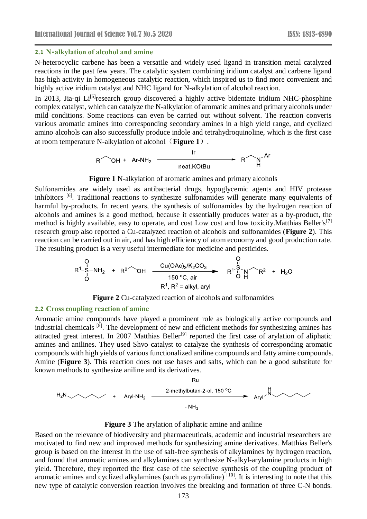#### **2.1 N-alkylation of alcohol and amine**

N-heterocyclic carbene has been a versatile and widely used ligand in transition metal catalyzed reactions in the past few years. The catalytic system combining iridium catalyst and carbene ligand has high activity in homogeneous catalytic reaction, which inspired us to find more convenient and highly active iridium catalyst and NHC ligand for N-alkylation of alcohol reaction.

In 2013, Jia-qi Li<sup>[5]</sup>research group discovered a highly active bidentate iridium NHC-phosphine complex catalyst, which can catalyze the N-alkylation of aromatic amines and primary alcohols under mild conditions. Some reactions can even be carried out without solvent. The reaction converts various aromatic amines into corresponding secondary amines in a high yield range, and cyclized amino alcohols can also successfully produce indole and tetrahydroquinoline, which is the first case at room temperature N-alkylation of alcohol(**Figure 1**).

$$
R^{\nwarrow}OH + Ar-NH_2 \xrightarrow{\text{Irr}} R^{\nwarrow} N^{\nwarrow}H
$$

#### **Figure 1** N-alkylation of aromatic amines and primary alcohols

Sulfonamides are widely used as antibacterial drugs, hypoglycemic agents and HIV protease inhibitors <sup>[6]</sup>. Traditional reactions to synthesize sulfonamides will generate many equivalents of harmful by-products. In recent years, the synthesis of sulfonamides by the hydrogen reaction of alcohols and amines is a good method, because it essentially produces water as a by-product, the method is highly available, easy to operate, and cost Low cost and low toxicity.Matthias Beller's<sup>[7]</sup> research group also reported a Cu-catalyzed reaction of alcohols and sulfonamides (**Figure 2**). This reaction can be carried out in air, and has high efficiency of atom economy and good production rate. The resulting product is a very useful intermediate for medicine and pesticides.

$$
R^{1} - S^{1} - NH_{2} + R^{2} \rightarrow OH \xrightarrow{\text{Cu(OAc)}_{2}/K_{2}CO_{3} \rightarrow R^{1} \rightarrow N \rightarrow R^{2} + H_{2}O
$$
\n
$$
R^{1} \rightarrow R^{2} \rightarrow R^{1} \rightarrow N \rightarrow R^{2} + H_{2}O
$$
\n
$$
R^{1} \rightarrow R^{2} = alkyl, \text{ ary}
$$

**Figure 2** Cu-catalyzed reaction of alcohols and sulfonamides

#### **2.2 Cross coupling reaction of amine**

Aromatic amine compounds have played a prominent role as biologically active compounds and industrial chemicals [8]. The development of new and efficient methods for synthesizing amines has attracted great interest. In 2007 Matthias Beller<sup>[9]</sup> reported the first case of arylation of aliphatic amines and anilines. They used Shvo catalyst to catalyze the synthesis of corresponding aromatic compounds with high yields of various functionalized aniline compounds and fatty amine compounds. Amine (**Figure 3**). This reaction does not use bases and salts, which can be a good substitute for known methods to synthesize aniline and its derivatives.

$$
Ru
$$
\n
$$
H_2N \times H_2 \longrightarrow H_1
$$
\n
$$
H_2N \times H_2 \longrightarrow H_3
$$
\n
$$
-NH_3
$$
\n
$$
-NH_3
$$

#### **Figure 3** The arylation of aliphatic amine and aniline

Based on the relevance of biodiversity and pharmaceuticals, academic and industrial researchers are motivated to find new and improved methods for synthesizing amine derivatives. Matthias Beller's group is based on the interest in the use of salt-free synthesis of alkylamines by hydrogen reaction, and found that aromatic amines and alkylamines can synthesize N-alkyl-arylamine products in high yield. Therefore, they reported the first case of the selective synthesis of the coupling product of aromatic amines and cyclized alkylamines (such as pyrrolidine) <sup>[10]</sup>. It is interesting to note that this new type of catalytic conversion reaction involves the breaking and formation of three C-N bonds.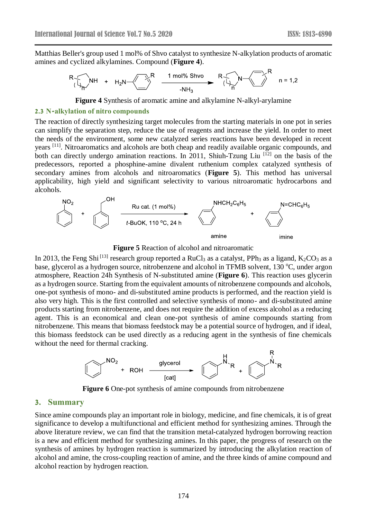Matthias Beller's group used 1 mol% of Shvo catalyst to synthesize N-alkylation products of aromatic amines and cyclized alkylamines. Compound (**Figure 4**).

$$
R\begin{matrix}N+ \\ N\end{matrix} + H_2N \begin{matrix}R & 1 \text{ mol% Shvo} \\ \hline & 1 \text{ mol% Shvo} \\ \hline & 1 \text{ M} \end{matrix} \begin{matrix}R \\ N \end{matrix} \begin{matrix}N\\ N \end{matrix} \begin{matrix}N\\ N \end{matrix} \begin{matrix}N\\ N \end{matrix} \begin{matrix}N\\ N \end{matrix} \begin{matrix}N\\ N \end{matrix} \begin{matrix}N\\ N \end{matrix} \begin{matrix}N\\ N \end{matrix} \begin{matrix}N\\ N \end{matrix} \begin{matrix}N\\ N \end{matrix} \begin{matrix}N\\ N \end{matrix} \begin{matrix}N\\ N \end{matrix} \begin{matrix}N\\ N \end{matrix} \begin{matrix}N\\ N \end{matrix} \begin{matrix}N\\ N \end{matrix} \begin{matrix}N\\ N \end{matrix} \begin{matrix}N\\ N \end{matrix} \begin{matrix}N\\ N \end{matrix} \begin{matrix}N\\ N \end{matrix} \begin{matrix}N\\ N \end{matrix} \begin{matrix}N\\ N \end{matrix} \begin{matrix}N\\ N \end{matrix} \begin{matrix}N\\ N \end{matrix} \begin{matrix}N\\ N \end{matrix} \begin{matrix}N\\ N \end{matrix} \begin{matrix}N\\ N \end{matrix} \begin{matrix}N\\ N \end{matrix} \begin{matrix}N\\ N \end{matrix} \begin{matrix}N\\ N \end{matrix} \begin{matrix}N\\ N \end{matrix} \begin{matrix}N\\ N \end{matrix} \begin{matrix}N\\ N \end{matrix} \begin{matrix}N\\ N \end{matrix} \begin{matrix}N\\ N \end{matrix} \begin{matrix}N\\ N \end{matrix} \begin{matrix}N\\ N \end{matrix} \begin{matrix}N\\ N \end{matrix} \begin{matrix}N\\ N \end{matrix} \begin{matrix}N\\ N \end{matrix} \begin{matrix}N\\ N \end{matrix} \begin{matrix}N\\ N \end{matrix} \begin{matrix}N\\ N \end{matrix} \begin{matrix}N\\ N \end{matrix} \begin{matrix}N\\ N \end{matrix} \begin{matrix}N\\ N \end{matrix} \begin{matrix}N\\ N \end{matrix} \begin{matrix}N\\ N \end{matrix} \begin{matrix}N\\ N \end{matrix} \begin{matrix}N\\ N \end{matrix} \begin{matrix}N\\ N \end{matrix} \begin{matrix}N\\ N \end{matrix} \begin{matrix}N\\ N \end{matrix} \begin{matrix}N\\ N \end{matrix} \
$$

**Figure 4** Synthesis of aromatic amine and alkylamine N-alkyl-arylamine

#### **2.3 N-alkylation of nitro compounds**

The reaction of directly synthesizing target molecules from the starting materials in one pot in series can simplify the separation step, reduce the use of reagents and increase the yield. In order to meet the needs of the environment, some new catalyzed series reactions have been developed in recent years <sup>[11]</sup>. Nitroaromatics and alcohols are both cheap and readily available organic compounds, and both can directly undergo amination reactions. In 2011, Shiuh-Tzung Liu<sup>[12]</sup> on the basis of the predecessors, reported a phosphine-amine divalent ruthenium complex catalyzed synthesis of secondary amines from alcohols and nitroaromatics (**Figure 5**). This method has universal applicability, high yield and significant selectivity to various nitroaromatic hydrocarbons and alcohols.



**Figure 5** Reaction of alcohol and nitroaromatic

In 2013, the Feng Shi<sup>[13]</sup> research group reported a RuCl<sub>3</sub> as a catalyst, PPh<sub>3</sub> as a ligand, K<sub>2</sub>CO<sub>3</sub> as a base, glycerol as a hydrogen source, nitrobenzene and alcohol in TFMB solvent, 130 °C, under argon atmosphere, Reaction 24h Synthesis of N-substituted amine (**Figure 6**). This reaction uses glycerin as a hydrogen source. Starting from the equivalent amounts of nitrobenzene compounds and alcohols, one-pot synthesis of mono- and di-substituted amine products is performed, and the reaction yield is also very high. This is the first controlled and selective synthesis of mono- and di-substituted amine products starting from nitrobenzene, and does not require the addition of excess alcohol as a reducing agent. This is an economical and clean one-pot synthesis of amine compounds starting from nitrobenzene. This means that biomass feedstock may be a potential source of hydrogen, and if ideal, this biomass feedstock can be used directly as a reducing agent in the synthesis of fine chemicals without the need for thermal cracking.



**Figure 6** One-pot synthesis of amine compounds from nitrobenzene

### **3. Summary**

Since amine compounds play an important role in biology, medicine, and fine chemicals, it is of great significance to develop a multifunctional and efficient method for synthesizing amines. Through the above literature review, we can find that the transition metal-catalyzed hydrogen borrowing reaction is a new and efficient method for synthesizing amines. In this paper, the progress of research on the synthesis of amines by hydrogen reaction is summarized by introducing the alkylation reaction of alcohol and amine, the cross-coupling reaction of amine, and the three kinds of amine compound and alcohol reaction by hydrogen reaction.